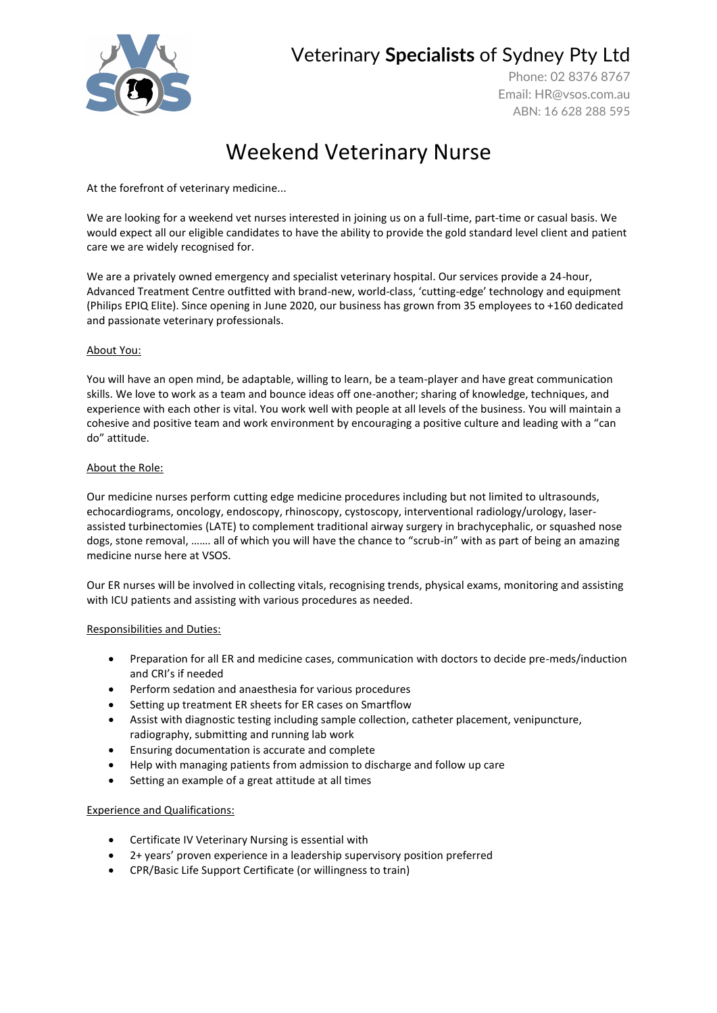

## Veterinary **Specialists** of Sydney Pty Ltd

Phone: 02 8376 8767 Email: [HR@vsos.com.au](mailto:HR@vsos.com.au) ABN: 16 628 288 595

# Weekend Veterinary Nurse

At the forefront of veterinary medicine...

We are looking for a weekend vet nurses interested in joining us on a full-time, part-time or casual basis. We would expect all our eligible candidates to have the ability to provide the gold standard level client and patient care we are widely recognised for.

We are a privately owned emergency and specialist veterinary hospital. Our services provide a 24-hour, Advanced Treatment Centre outfitted with brand-new, world-class, 'cutting-edge' technology and equipment (Philips EPIQ Elite). Since opening in June 2020, our business has grown from 35 employees to +160 dedicated and passionate veterinary professionals.

## About You:

You will have an open mind, be adaptable, willing to learn, be a team-player and have great communication skills. We love to work as a team and bounce ideas off one-another; sharing of knowledge, techniques, and experience with each other is vital. You work well with people at all levels of the business. You will maintain a cohesive and positive team and work environment by encouraging a positive culture and leading with a "can do" attitude.

### About the Role:

Our medicine nurses perform cutting edge medicine procedures including but not limited to ultrasounds, echocardiograms, oncology, endoscopy, rhinoscopy, cystoscopy, interventional radiology/urology, laserassisted turbinectomies (LATE) to complement traditional airway surgery in brachycephalic, or squashed nose dogs, stone removal, ……. all of which you will have the chance to "scrub-in" with as part of being an amazing medicine nurse here at VSOS.

Our ER nurses will be involved in collecting vitals, recognising trends, physical exams, monitoring and assisting with ICU patients and assisting with various procedures as needed.

#### Responsibilities and Duties:

- Preparation for all ER and medicine cases, communication with doctors to decide pre-meds/induction and CRI's if needed
- Perform sedation and anaesthesia for various procedures
- Setting up treatment ER sheets for ER cases on Smartflow
- Assist with diagnostic testing including sample collection, catheter placement, venipuncture, radiography, submitting and running lab work
- Ensuring documentation is accurate and complete
- Help with managing patients from admission to discharge and follow up care
- Setting an example of a great attitude at all times

## Experience and Qualifications:

- Certificate IV Veterinary Nursing is essential with
- 2+ years' proven experience in a leadership supervisory position preferred
- CPR/Basic Life Support Certificate (or willingness to train)